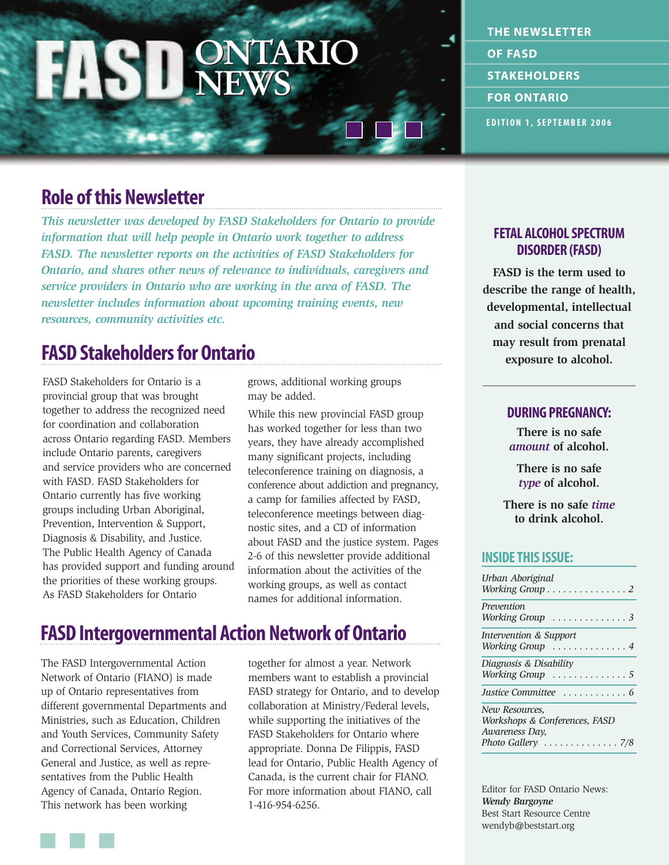## **ONTARIO NEWS ONTARIO NEWS**

**EDITION 1, SEPTEMBER 2006 THE NEWSLETTER OF FASD STAKEHOLDERS FOR ONTARIO**

# **Role of this Newsletter**

*This newsletter was developed by FASD Stakeholders for Ontario to provide information that will help people in Ontario work together to address FASD. The newsletter reports on the activities of FASD Stakeholders for Ontario, and shares other news of relevance to individuals, caregivers and service providers in Ontario who are working in the area of FASD. The newsletter includes information about upcoming training events, new resources, community activities etc.*

# **FASD Stakeholders for Ontario**

FASD Stakeholders for Ontario is a provincial group that was brought together to address the recognized need for coordination and collaboration across Ontario regarding FASD. Members include Ontario parents, caregivers and service providers who are concerned with FASD. FASD Stakeholders for Ontario currently has five working groups including Urban Aboriginal, Prevention, Intervention & Support, Diagnosis & Disability, and Justice. The Public Health Agency of Canada has provided support and funding around the priorities of these working groups. As FASD Stakeholders for Ontario

grows, additional working groups may be added.

While this new provincial FASD group has worked together for less than two years, they have already accomplished many significant projects, including teleconference training on diagnosis, a conference about addiction and pregnancy, a camp for families affected by FASD, teleconference meetings between diagnostic sites, and a CD of information about FASD and the justice system. Pages 2-6 of this newsletter provide additional information about the activities of the working groups, as well as contact names for additional information.

# **FASD Intergovernmental Action Network of Ontario**

The FASD Intergovernmental Action Network of Ontario (FIANO) is made up of Ontario representatives from different governmental Departments and Ministries, such as Education, Children and Youth Services, Community Safety and Correctional Services, Attorney General and Justice, as well as representatives from the Public Health Agency of Canada, Ontario Region. This network has been working

together for almost a year. Network members want to establish a provincial FASD strategy for Ontario, and to develop collaboration at Ministry/Federal levels, while supporting the initiatives of the FASD Stakeholders for Ontario where appropriate. Donna De Filippis, FASD lead for Ontario, Public Health Agency of Canada, is the current chair for FIANO. For more information about FIANO, call 1-416-954-6256.

### **FETAL ALCOHOL SPECTRUM DISORDER (FASD)**

**FASD is the term used to describe the range of health, developmental, intellectual and social concerns that may result from prenatal exposure to alcohol.**

### **DURING PREGNANCY:**

**There is no safe**  *amount* **of alcohol.**

**There is no safe**  *type* **of alcohol.**

**There is no safe** *time* **to drink alcohol.**

### **INSIDE THIS ISSUE:**

| Urban Aboriginal<br>Working Group $\dots \dots \dots \dots \dots$                       |
|-----------------------------------------------------------------------------------------|
| Prevention<br>Working Group $\dots \dots \dots \dots$                                   |
| Intervention & Support<br>Working Group $\dots\dots\dots\dots$ .                        |
| Diagnosis & Disability<br>Working Group $\dots\dots\dots\dots5$                         |
| Justice Committee  6                                                                    |
| New Resources,<br>Workshops & Conferences, FASD<br>Awareness Day,<br>Photo Gallery  7/8 |

Editor for FASD Ontario News: *Wendy Burgoyne* Best Start Resource Centre wendyb@beststart.org

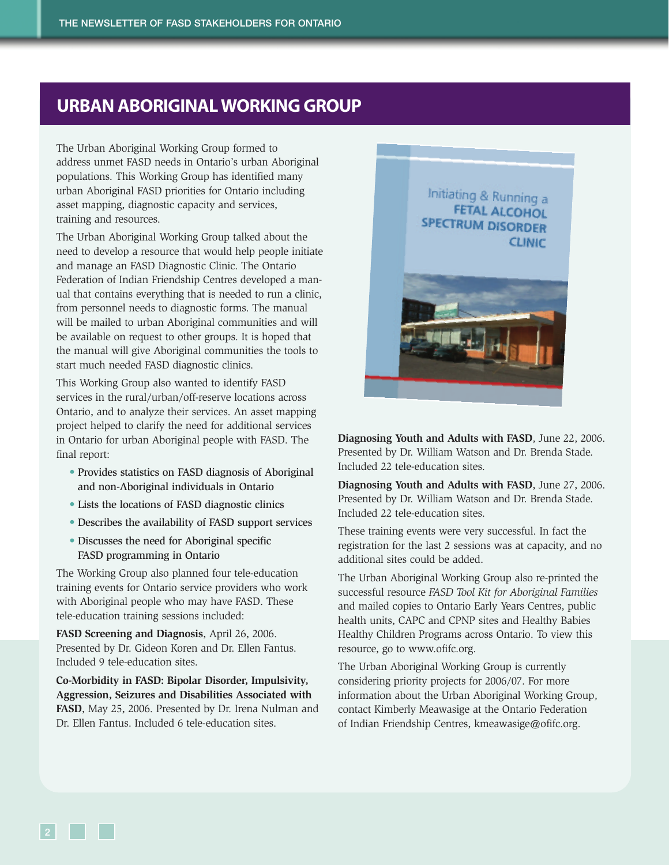## **URBAN ABORIGINAL WORKING GROUP**

The Urban Aboriginal Working Group formed to address unmet FASD needs in Ontario's urban Aboriginal populations. This Working Group has identified many urban Aboriginal FASD priorities for Ontario including asset mapping, diagnostic capacity and services, training and resources.

The Urban Aboriginal Working Group talked about the need to develop a resource that would help people initiate and manage an FASD Diagnostic Clinic. The Ontario Federation of Indian Friendship Centres developed a manual that contains everything that is needed to run a clinic, from personnel needs to diagnostic forms. The manual will be mailed to urban Aboriginal communities and will be available on request to other groups. It is hoped that the manual will give Aboriginal communities the tools to start much needed FASD diagnostic clinics.

This Working Group also wanted to identify FASD services in the rural/urban/off-reserve locations across Ontario, and to analyze their services. An asset mapping project helped to clarify the need for additional services in Ontario for urban Aboriginal people with FASD. The final report:

- Provides statistics on FASD diagnosis of Aboriginal and non-Aboriginal individuals in Ontario
- Lists the locations of FASD diagnostic clinics
- Describes the availability of FASD support services
- Discusses the need for Aboriginal specific FASD programming in Ontario

The Working Group also planned four tele-education training events for Ontario service providers who work with Aboriginal people who may have FASD. These tele-education training sessions included:

**FASD Screening and Diagnosis**, April 26, 2006. Presented by Dr. Gideon Koren and Dr. Ellen Fantus. Included 9 tele-education sites.

**Co-Morbidity in FASD: Bipolar Disorder, Impulsivity, Aggression, Seizures and Disabilities Associated with FASD**, May 25, 2006. Presented by Dr. Irena Nulman and Dr. Ellen Fantus. Included 6 tele-education sites.



**Diagnosing Youth and Adults with FASD**, June 22, 2006. Presented by Dr. William Watson and Dr. Brenda Stade. Included 22 tele-education sites.

**Diagnosing Youth and Adults with FASD**, June 27, 2006. Presented by Dr. William Watson and Dr. Brenda Stade. Included 22 tele-education sites.

These training events were very successful. In fact the registration for the last 2 sessions was at capacity, and no additional sites could be added.

The Urban Aboriginal Working Group also re-printed the successful resource *FASD Tool Kit for Aboriginal Families* and mailed copies to Ontario Early Years Centres, public health units, CAPC and CPNP sites and Healthy Babies Healthy Children Programs across Ontario. To view this resource, go to [www.ofifc.org.](www.ofifc.org)

The Urban Aboriginal Working Group is currently considering priority projects for 2006/07. For more information about the Urban Aboriginal Working Group, contact Kimberly Meawasige at the Ontario Federation of Indian Friendship Centres, kmeawasige@ofifc.org.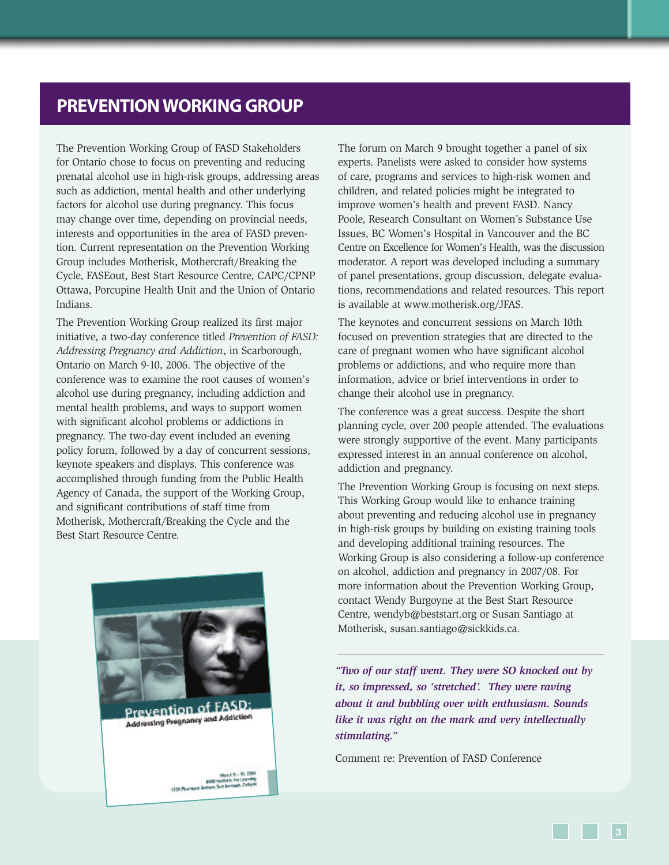## **PREVENTION WORKING GROUP**

The Prevention Working Group of FASD Stakeholders for Ontario chose to focus on preventing and reducing prenatal alcohol use in high-risk groups, addressing areas such as addiction, mental health and other underlying factors for alcohol use during pregnancy. This focus may change over time, depending on provincial needs, interests and opportunities in the area of FASD prevention. Current representation on the Prevention Working Group includes Motherisk, Mothercraft/Breaking the Cycle, FASEout, Best Start Resource Centre, CAPC/CPNP Ottawa, Porcupine Health Unit and the Union of Ontario Indians.

The Prevention Working Group realized its first major initiative, a two-day conference titled *Prevention of FASD: Addressing Pregnancy and Addiction*, in Scarborough, Ontario on March 9-10, 2006. The objective of the conference was to examine the root causes of women's alcohol use during pregnancy, including addiction and mental health problems, and ways to support women with significant alcohol problems or addictions in pregnancy. The two-day event included an evening policy forum, followed by a day of concurrent sessions, keynote speakers and displays. This conference was accomplished through funding from the Public Health Agency of Canada, the support of the Working Group, and significant contributions of staff time from Motherisk, Mothercraft/Breaking the Cycle and the Best Start Resource Centre.



**Prevention of FASD:** Addressing Pregnancy and Addiction

Hereb 9 = 10, 2008<br>Hardwick Per Learning<br>1988 Thermore Roome, Sun beyonds, Caster

The forum on March 9 brought together a panel of six experts. Panelists were asked to consider how systems of care, programs and services to high-risk women and children, and related policies might be integrated to improve women's health and prevent FASD. Nancy Poole, Research Consultant on Women's Substance Use Issues, BC Women's Hospital in Vancouver and the BC Centre on Excellence for Women's Health, was the discussion moderator. A report was developed including a summary of panel presentations, group discussion, delegate evaluations, recommendations and related resources. This report is available at [www.motherisk.org/JFAS.](www.motherisk.org/JFAS)

The keynotes and concurrent sessions on March 10th focused on prevention strategies that are directed to the care of pregnant women who have significant alcohol problems or addictions, and who require more than information, advice or brief interventions in order to change their alcohol use in pregnancy.

The conference was a great success. Despite the short planning cycle, over 200 people attended. The evaluations were strongly supportive of the event. Many participants expressed interest in an annual conference on alcohol, addiction and pregnancy.

The Prevention Working Group is focusing on next steps. This Working Group would like to enhance training about preventing and reducing alcohol use in pregnancy in high-risk groups by building on existing training tools and developing additional training resources. The Working Group is also considering a follow-up conference on alcohol, addiction and pregnancy in 2007/08. For more information about the Prevention Working Group, contact Wendy Burgoyne at the Best Start Resource Centre, wendyb@beststart.org or Susan Santiago at Motherisk, susan.santiago@sickkids.ca.

*"Two of our staff went. They were SO knocked out by it, so impressed, so 'stretched'. They were raving about it and bubbling over with enthusiasm. Sounds like it was right on the mark and very intellectually stimulating."*

Comment re: Prevention of FASD Conference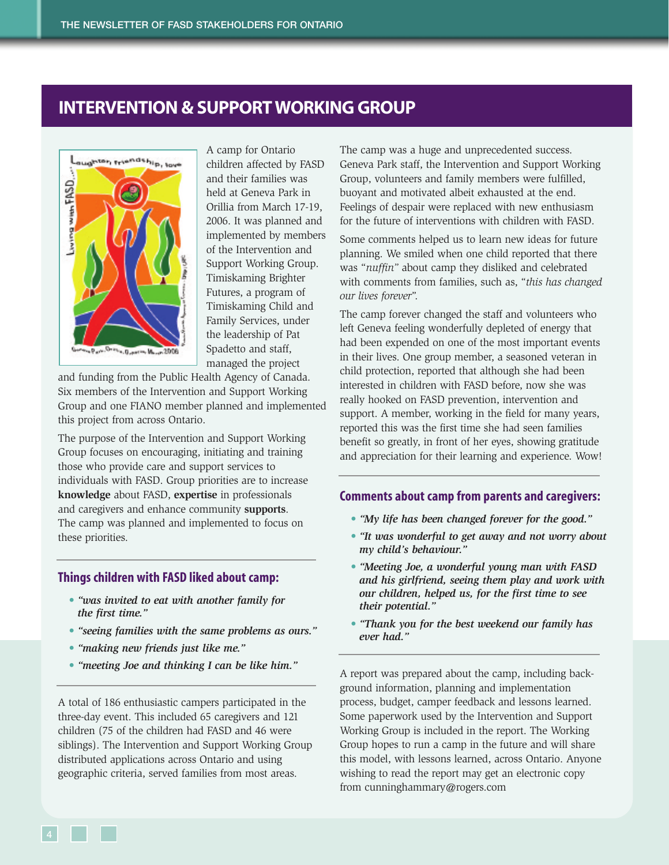## **INTERVENTION & SUPPORT WORKING GROUP**



A camp for Ontario children affected by FASD and their families was held at Geneva Park in Orillia from March 17-19, 2006. It was planned and implemented by members of the Intervention and Support Working Group. Timiskaming Brighter Futures, a program of Timiskaming Child and Family Services, under the leadership of Pat Spadetto and staff, managed the project

and funding from the Public Health Agency of Canada. Six members of the Intervention and Support Working Group and one FIANO member planned and implemented this project from across Ontario.

The purpose of the Intervention and Support Working Group focuses on encouraging, initiating and training those who provide care and support services to individuals with FASD. Group priorities are to increase **knowledge** about FASD, **expertise** in professionals and caregivers and enhance community **supports**. The camp was planned and implemented to focus on these priorities.

#### **Things children with FASD liked about camp:**

- *• "was invited to eat with another family for the first time."*
- *• "seeing families with the same problems as ours."*
- *• "making new friends just like me."*
- *• "meeting Joe and thinking I can be like him."*

A total of 186 enthusiastic campers participated in the three-day event. This included 65 caregivers and 121 children (75 of the children had FASD and 46 were siblings). The Intervention and Support Working Group distributed applications across Ontario and using geographic criteria, served families from most areas.

The camp was a huge and unprecedented success. Geneva Park staff, the Intervention and Support Working Group, volunteers and family members were fulfilled, buoyant and motivated albeit exhausted at the end. Feelings of despair were replaced with new enthusiasm for the future of interventions with children with FASD.

Some comments helped us to learn new ideas for future planning. We smiled when one child reported that there was "*nuffin"* about camp they disliked and celebrated with comments from families, such as, "*this has changed our lives forever*".

The camp forever changed the staff and volunteers who left Geneva feeling wonderfully depleted of energy that had been expended on one of the most important events in their lives. One group member, a seasoned veteran in child protection, reported that although she had been interested in children with FASD before, now she was really hooked on FASD prevention, intervention and support. A member, working in the field for many years, reported this was the first time she had seen families benefit so greatly, in front of her eyes, showing gratitude and appreciation for their learning and experience. Wow!

#### **Comments about camp from parents and caregivers:**

- *"My life has been changed forever for the good."*
- *• "It was wonderful to get away and not worry about my child's behaviour."*
- *• "Meeting Joe, a wonderful young man with FASD and his girlfriend, seeing them play and work with our children, helped us, for the first time to see their potential."*
- *• "Thank you for the best weekend our family has ever had."*

A report was prepared about the camp, including background information, planning and implementation process, budget, camper feedback and lessons learned. Some paperwork used by the Intervention and Support Working Group is included in the report. The Working Group hopes to run a camp in the future and will share this model, with lessons learned, across Ontario. Anyone wishing to read the report may get an electronic copy from cunninghammary@rogers.com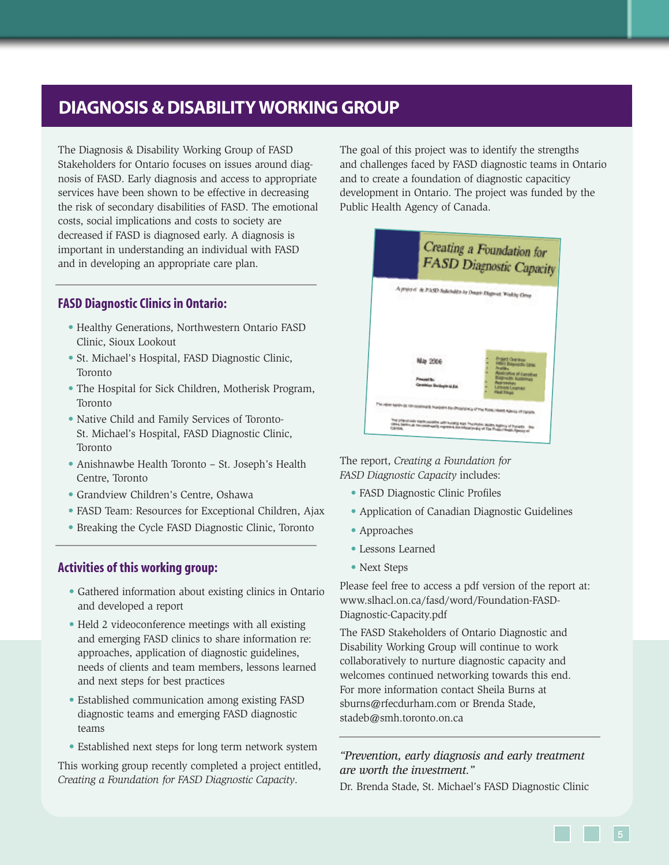## **DIAGNOSIS & DISABILITY WORKING GROUP**

The Diagnosis & Disability Working Group of FASD Stakeholders for Ontario focuses on issues around diagnosis of FASD. Early diagnosis and access to appropriate services have been shown to be effective in decreasing the risk of secondary disabilities of FASD. The emotional costs, social implications and costs to society are decreased if FASD is diagnosed early. A diagnosis is important in understanding an individual with FASD and in developing an appropriate care plan.

### **FASD Diagnostic Clinics in Ontario:**

- Healthy Generations, Northwestern Ontario FASD Clinic, Sioux Lookout
- St. Michael's Hospital, FASD Diagnostic Clinic, Toronto
- The Hospital for Sick Children, Motherisk Program, Toronto
- Native Child and Family Services of Toronto-St. Michael's Hospital, FASD Diagnostic Clinic, Toronto
- Anishnawbe Health Toronto St. Joseph's Health Centre, Toronto
- Grandview Children's Centre, Oshawa
- FASD Team: Resources for Exceptional Children, Ajax
- Breaking the Cycle FASD Diagnostic Clinic, Toronto

### **Activities of this working group:**

- Gathered information about existing clinics in Ontario and developed a report
- Held 2 videoconference meetings with all existing and emerging FASD clinics to share information re: approaches, application of diagnostic guidelines, needs of clients and team members, lessons learned and next steps for best practices
- Established communication among existing FASD diagnostic teams and emerging FASD diagnostic teams
- Established next steps for long term network system

This working group recently completed a project entitled, *Creating a Foundation for FASD Diagnostic Capacity*.

The goal of this project was to identify the strengths and challenges faced by FASD diagnostic teams in Ontario and to create a foundation of diagnostic capaciticy development in Ontario. The project was funded by the Public Health Agency of Canada.



The report, *Creating a Foundation for FASD Diagnostic Capacity* includes:

- FASD Diagnostic Clinic Profiles
- Application of Canadian Diagnostic Guidelines
- Approaches
- Lessons Learned
- Next Steps

Please feel free to access a pdf version of the report at: [www.slhacl.on.ca/fasd/word/Foundation-FASD-](www.slhacl.on.ca/fasd/word/Foundation-FASD-Diagnostic-Capacity.pdf)Diagnostic-Capacity.pdf

The FASD Stakeholders of Ontario Diagnostic and Disability Working Group will continue to work collaboratively to nurture diagnostic capacity and welcomes continued networking towards this end. For more information contact Sheila Burns at sburns@rfecdurham.com or Brenda Stade, stadeb@smh.toronto.on.ca

### *"Prevention, early diagnosis and early treatment are worth the investment."*

Dr. Brenda Stade, St. Michael's FASD Diagnostic Clinic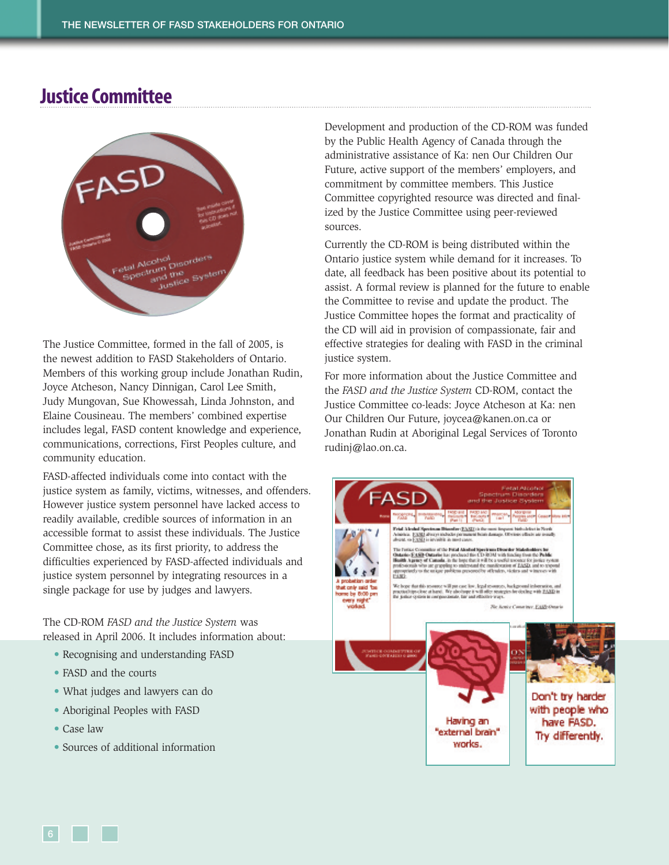# **Justice Committee**



The Justice Committee, formed in the fall of 2005, is the newest addition to FASD Stakeholders of Ontario. Members of this working group include Jonathan Rudin, Joyce Atcheson, Nancy Dinnigan, Carol Lee Smith, Judy Mungovan, Sue Khowessah, Linda Johnston, and Elaine Cousineau. The members' combined expertise includes legal, FASD content knowledge and experience, communications, corrections, First Peoples culture, and community education.

FASD-affected individuals come into contact with the justice system as family, victims, witnesses, and offenders. However justice system personnel have lacked access to readily available, credible sources of information in an accessible format to assist these individuals. The Justice Committee chose, as its first priority, to address the difficulties experienced by FASD-affected individuals and justice system personnel by integrating resources in a single package for use by judges and lawyers.

The CD-ROM *FASD and the Justice System* was released in April 2006. It includes information about:

- Recognising and understanding FASD
- FASD and the courts
- What judges and lawyers can do
- Aboriginal Peoples with FASD
- Case law
- Sources of additional information

Development and production of the CD-ROM was funded by the Public Health Agency of Canada through the administrative assistance of Ka: nen Our Children Our Future, active support of the members' employers, and commitment by committee members. This Justice Committee copyrighted resource was directed and finalized by the Justice Committee using peer-reviewed sources.

Currently the CD-ROM is being distributed within the Ontario justice system while demand for it increases. To date, all feedback has been positive about its potential to assist. A formal review is planned for the future to enable the Committee to revise and update the product. The Justice Committee hopes the format and practicality of the CD will aid in provision of compassionate, fair and effective strategies for dealing with FASD in the criminal justice system.

For more information about the Justice Committee and the *FASD and the Justice System* CD-ROM, contact the Justice Committee co-leads: Joyce Atcheson at Ka: nen Our Children Our Future, joycea@kanen.on.ca or Jonathan Rudin at Aboriginal Legal Services of Toronto rudinj@lao.on.ca.

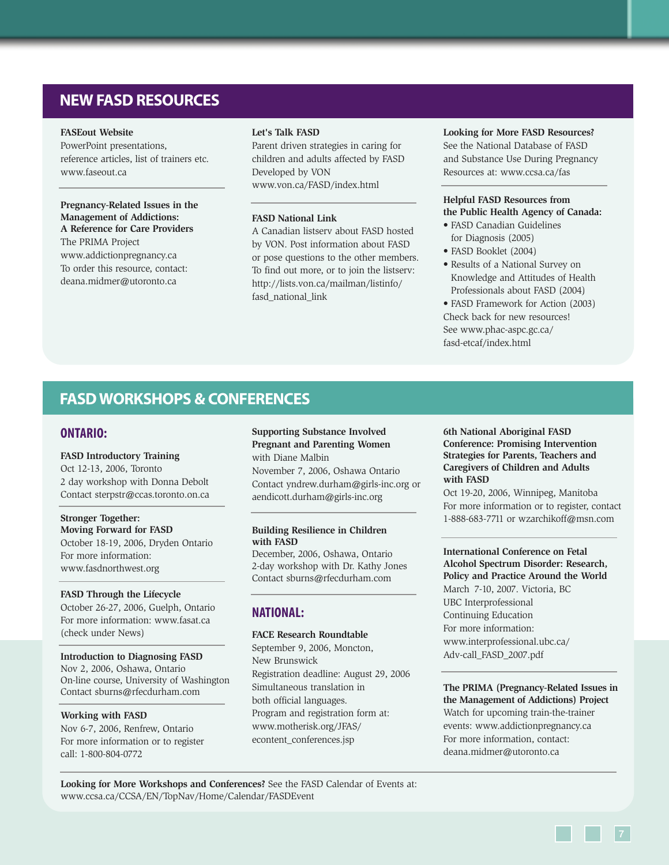## **NEW FASD RESOURCES**

#### **FASEout Website**

PowerPoint presentations, reference articles, list of trainers etc. <www.faseout.ca>

**Pregnancy-Related Issues in the Management of Addictions: A Reference for Care Providers**  The PRIMA Project <www.addictionpregnancy.ca> To order this resource, contact: deana.midmer@utoronto.ca

#### **Let's Talk FASD**

Parent driven strategies in caring for children and adults affected by FASD Developed by VON <www.von.ca/FASD/index.html>

#### **FASD National Link**

A Canadian listserv about FASD hosted by VON. Post information about FASD or pose questions to the other members. To find out more, or to join the listserv: [http://lists.von.ca/mailman/listinfo/](http://lists.von.ca/mailman/listinfo/fasd_national_link) fasd national link

**Looking for More FASD Resources?** See the National Database of FASD and Substance Use During Pregnancy Resources at:<www.ccsa.ca/fas>

#### **Helpful FASD Resources from the Public Health Agency of Canada:**

- FASD Canadian Guidelines for Diagnosis (2005)
- FASD Booklet (2004)
- Results of a National Survey on Knowledge and Attitudes of Health Professionals about FASD (2004)
- FASD Framework for Action (2003) Check back for new resources! [See www.phac-aspc.gc.ca/](www.phac-aspc.gc.ca/fasd-etcaf/index.html) fasd-etcaf/index.html

### **FASD WORKSHOPS & CONFERENCES**

#### **ONTARIO:**

#### **FASD Introductory Training**

Oct 12-13, 2006, Toronto 2 day workshop with Donna Debolt Contact sterpstr@ccas.toronto.on.ca

**Stronger Together: Moving Forward for FASD** October 18-19, 2006, Dryden Ontario For more information: <www.fasdnorthwest.org>

**FASD Through the Lifecycle** October 26-27, 2006, Guelph, Ontario For more information:<www.fasat.ca> (check under News)

**Introduction to Diagnosing FASD** Nov 2, 2006, Oshawa, Ontario On-line course, University of Washington Contact sburns@rfecdurham.com

#### **Working with FASD**

Nov 6-7, 2006, Renfrew, Ontario For more information or to register call: 1-800-804-0772

**Supporting Substance Involved Pregnant and Parenting Women**

with Diane Malbin November 7, 2006, Oshawa Ontario Contact yndrew.durham@girls-inc.org or aendicott.durham@girls-inc.org

#### **Building Resilience in Children with FASD**

December, 2006, Oshawa, Ontario 2-day workshop with Dr. Kathy Jones Contact sburns@rfecdurham.com

### **NATIONAL:**

#### **FACE Research Roundtable**

September 9, 2006, Moncton, New Brunswick Registration deadline: August 29, 2006 Simultaneous translation in both official languages. Program and registration form at: [www.motherisk.org/JFAS/](www.motherisk.org/JFAS/econtent_conferences.jsp) econtent\_conferences.jsp

**6th National Aboriginal FASD Conference: Promising Intervention Strategies for Parents, Teachers and Caregivers of Children and Adults with FASD**

Oct 19-20, 2006, Winnipeg, Manitoba For more information or to register, contact 1-888-683-7711 or wzarchikoff@msn.com

**International Conference on Fetal Alcohol Spectrum Disorder: Research, Policy and Practice Around the World** March 7-10, 2007. Victoria, BC UBC Interprofessional Continuing Education For more information: [www.interprofessional.ubc.ca/](www.interprofessional.ubc.ca/Adv-call_FASD_2007.pdf) Adv-call\_FASD\_2007.pdf

**The PRIMA (Pregnancy-Related Issues in the Management of Addictions) Project** Watch for upcoming train-the-trainer events:<www.addictionpregnancy.ca> For more information, contact: deana.midmer@utoronto.ca

**Looking for More Workshops and Conferences?** See the FASD Calendar of Events at: <www.ccsa.ca/CCSA/EN/TopNav/Home/Calendar/FASDEvent>